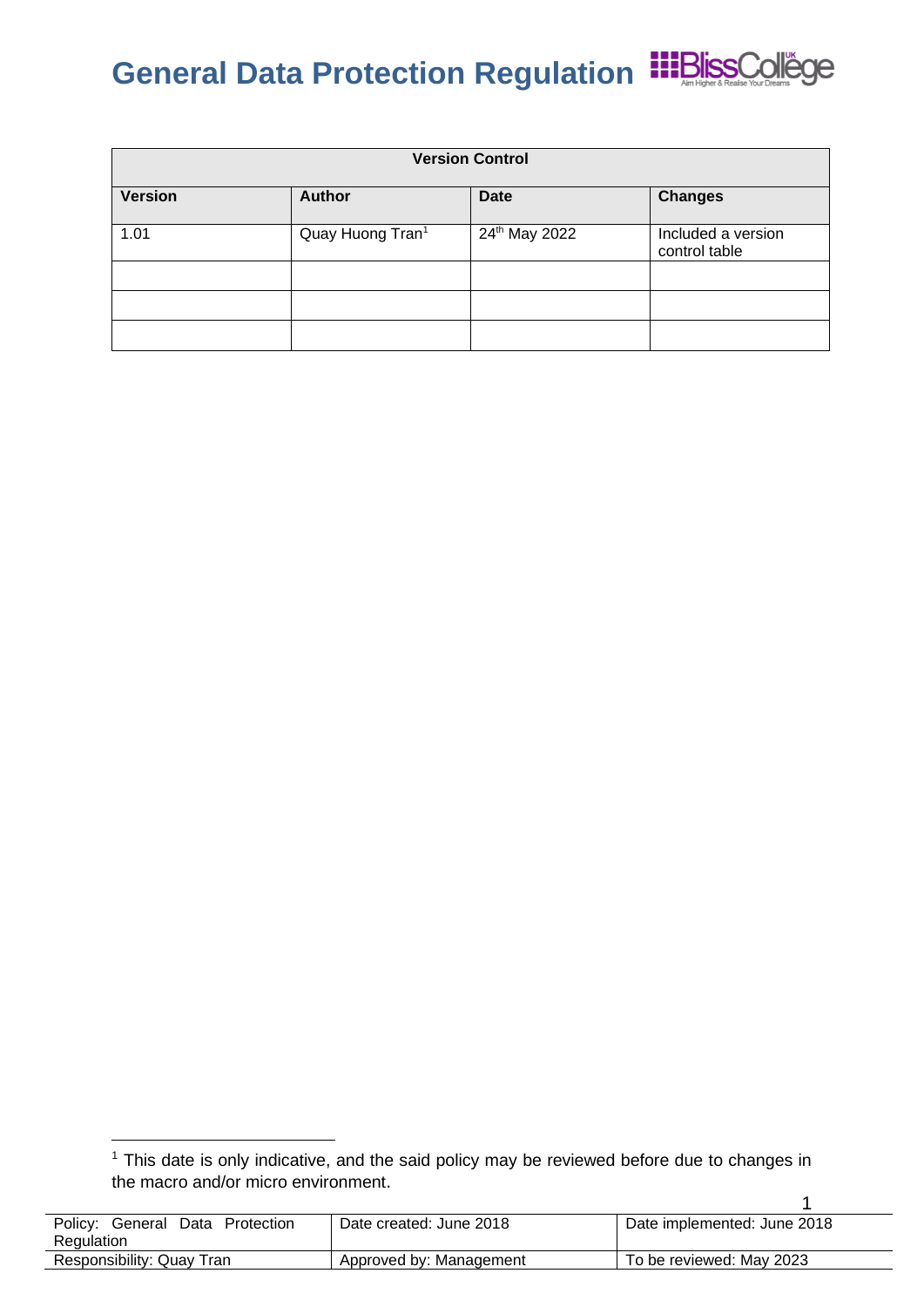

| <b>Version Control</b> |                              |               |                                     |
|------------------------|------------------------------|---------------|-------------------------------------|
| <b>Version</b>         | <b>Author</b>                | <b>Date</b>   | <b>Changes</b>                      |
| 1.01                   | Quay Huong Tran <sup>1</sup> | 24th May 2022 | Included a version<br>control table |
|                        |                              |               |                                     |
|                        |                              |               |                                     |
|                        |                              |               |                                     |

<sup>1</sup> <sup>1</sup> This date is only indicative, and the said policy may be reviewed before due to changes in the macro and/or micro environment.

| Policy:<br>Data<br>Protection<br>General<br>Regulation | Date created: June 2018 | Date implemented: June 2018 |
|--------------------------------------------------------|-------------------------|-----------------------------|
| Responsibility: Quay Tran                              | Approved by: Management | To be reviewed: May 2023    |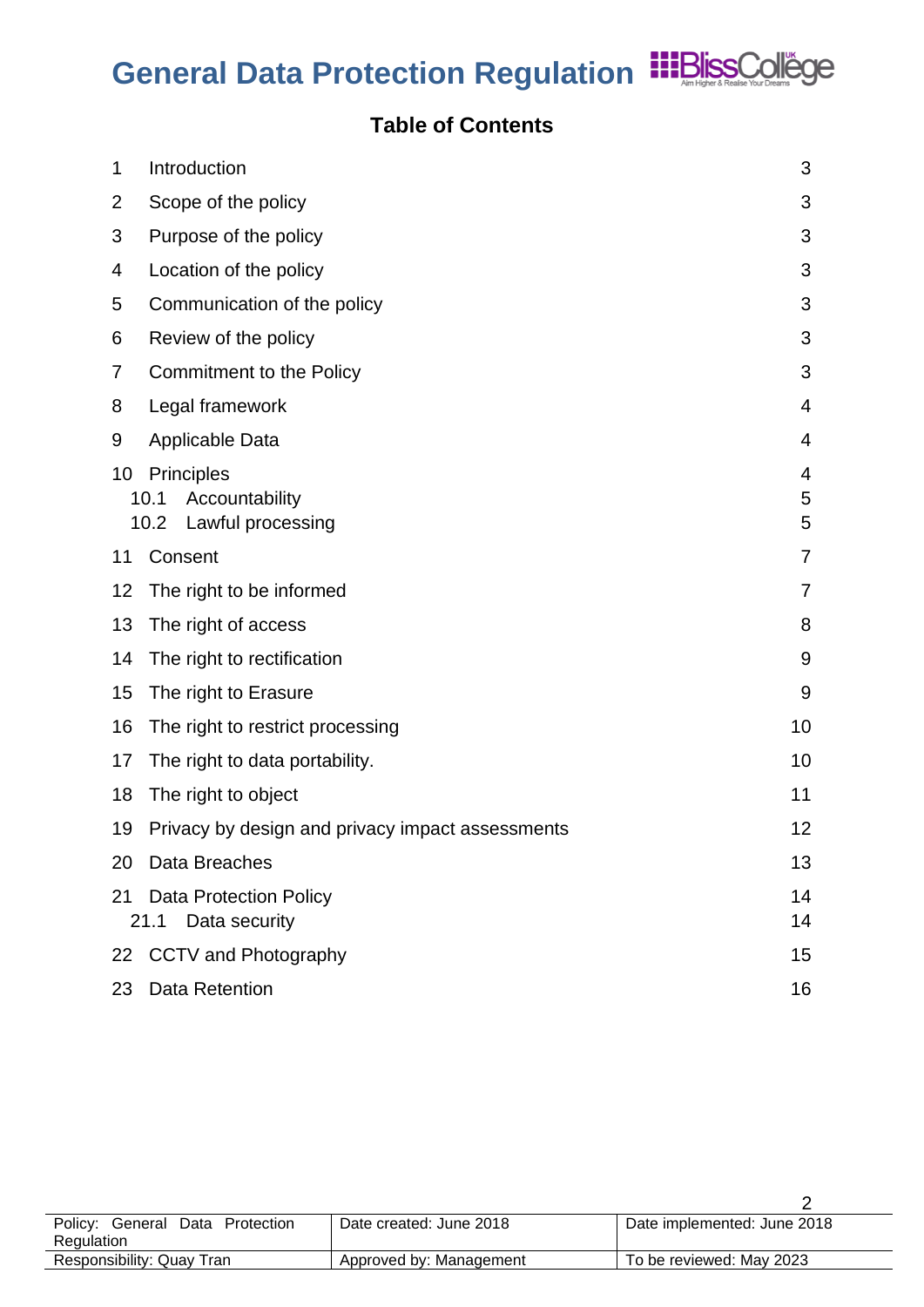

### **Table of Contents**

| 1  | Introduction                                     | 3  |
|----|--------------------------------------------------|----|
| 2  | Scope of the policy                              | 3  |
| 3  | Purpose of the policy                            | 3  |
| 4  | Location of the policy                           | 3  |
| 5  | Communication of the policy                      | 3  |
| 6  | Review of the policy                             | 3  |
| 7  | <b>Commitment to the Policy</b>                  | 3  |
| 8  | Legal framework                                  | 4  |
| 9  | <b>Applicable Data</b>                           | 4  |
| 10 | <b>Principles</b>                                | 4  |
|    | 10.1<br>Accountability                           | 5  |
|    | 10.2<br>Lawful processing                        | 5  |
| 11 | Consent                                          | 7  |
| 12 | The right to be informed                         | 7  |
| 13 | The right of access                              | 8  |
| 14 | The right to rectification                       | 9  |
| 15 | The right to Erasure                             | 9  |
| 16 | The right to restrict processing                 | 10 |
| 17 | The right to data portability.                   | 10 |
| 18 | The right to object                              | 11 |
| 19 | Privacy by design and privacy impact assessments | 12 |
| 20 | Data Breaches                                    | 13 |
| 21 | <b>Data Protection Policy</b>                    | 14 |
|    | 21.1<br>Data security                            | 14 |
| 22 | <b>CCTV and Photography</b>                      | 15 |
| 23 | <b>Data Retention</b>                            | 16 |

| Policy: General Data Protection | Date created: June 2018 | Date implemented: June 2018 |
|---------------------------------|-------------------------|-----------------------------|
| Regulation                      |                         |                             |
| Responsibility: Quay Tran       | Approved by: Management | To be reviewed: May 2023    |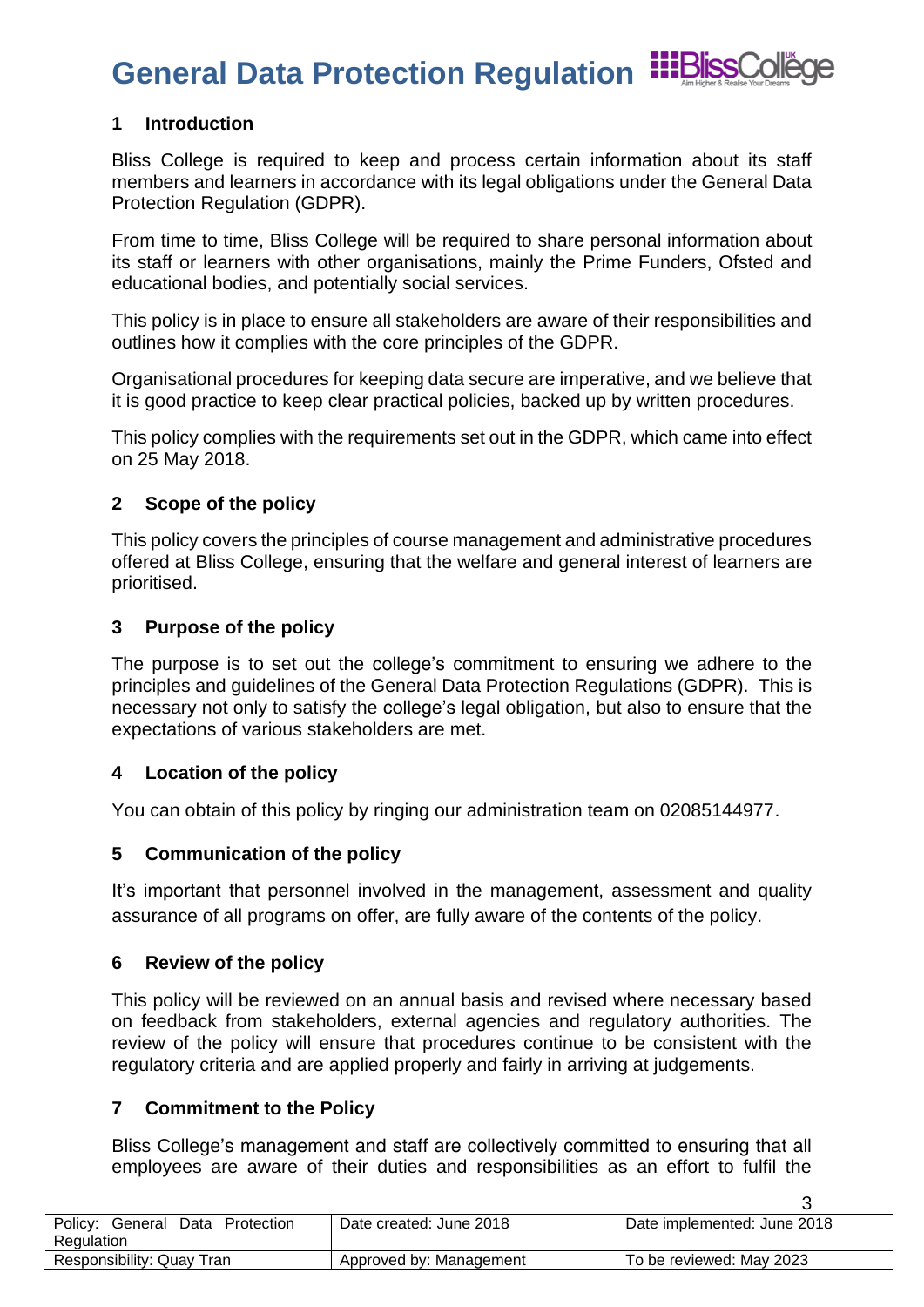

3

### <span id="page-2-0"></span>**1 Introduction**

Bliss College is required to keep and process certain information about its staff members and learners in accordance with its legal obligations under the General Data Protection Regulation (GDPR).

From time to time, Bliss College will be required to share personal information about its staff or learners with other organisations, mainly the Prime Funders, Ofsted and educational bodies, and potentially social services.

This policy is in place to ensure all stakeholders are aware of their responsibilities and outlines how it complies with the core principles of the GDPR.

Organisational procedures for keeping data secure are imperative, and we believe that it is good practice to keep clear practical policies, backed up by written procedures.

This policy complies with the requirements set out in the GDPR, which came into effect on 25 May 2018.

### <span id="page-2-1"></span>**2 Scope of the policy**

This policy covers the principles of course management and administrative procedures offered at Bliss College, ensuring that the welfare and general interest of learners are prioritised.

### <span id="page-2-2"></span>**3 Purpose of the policy**

The purpose is to set out the college's commitment to ensuring we adhere to the principles and guidelines of the General Data Protection Regulations (GDPR). This is necessary not only to satisfy the college's legal obligation, but also to ensure that the expectations of various stakeholders are met.

### <span id="page-2-3"></span>**4 Location of the policy**

You can obtain of this policy by ringing our administration team on 02085144977.

### <span id="page-2-4"></span>**5 Communication of the policy**

It's important that personnel involved in the management, assessment and quality assurance of all programs on offer, are fully aware of the contents of the policy.

### <span id="page-2-5"></span>**6 Review of the policy**

This policy will be reviewed on an annual basis and revised where necessary based on feedback from stakeholders, external agencies and regulatory authorities. The review of the policy will ensure that procedures continue to be consistent with the regulatory criteria and are applied properly and fairly in arriving at judgements.

### <span id="page-2-6"></span>**7 Commitment to the Policy**

Bliss College's management and staff are collectively committed to ensuring that all employees are aware of their duties and responsibilities as an effort to fulfil the

| Policy:<br>Data<br>Protection<br>General | Date created: June 2018 | Date implemented: June 2018 |
|------------------------------------------|-------------------------|-----------------------------|
| Regulation                               |                         |                             |
| Responsibility: Quay Tran                | Approved by: Management | To be reviewed: May 2023    |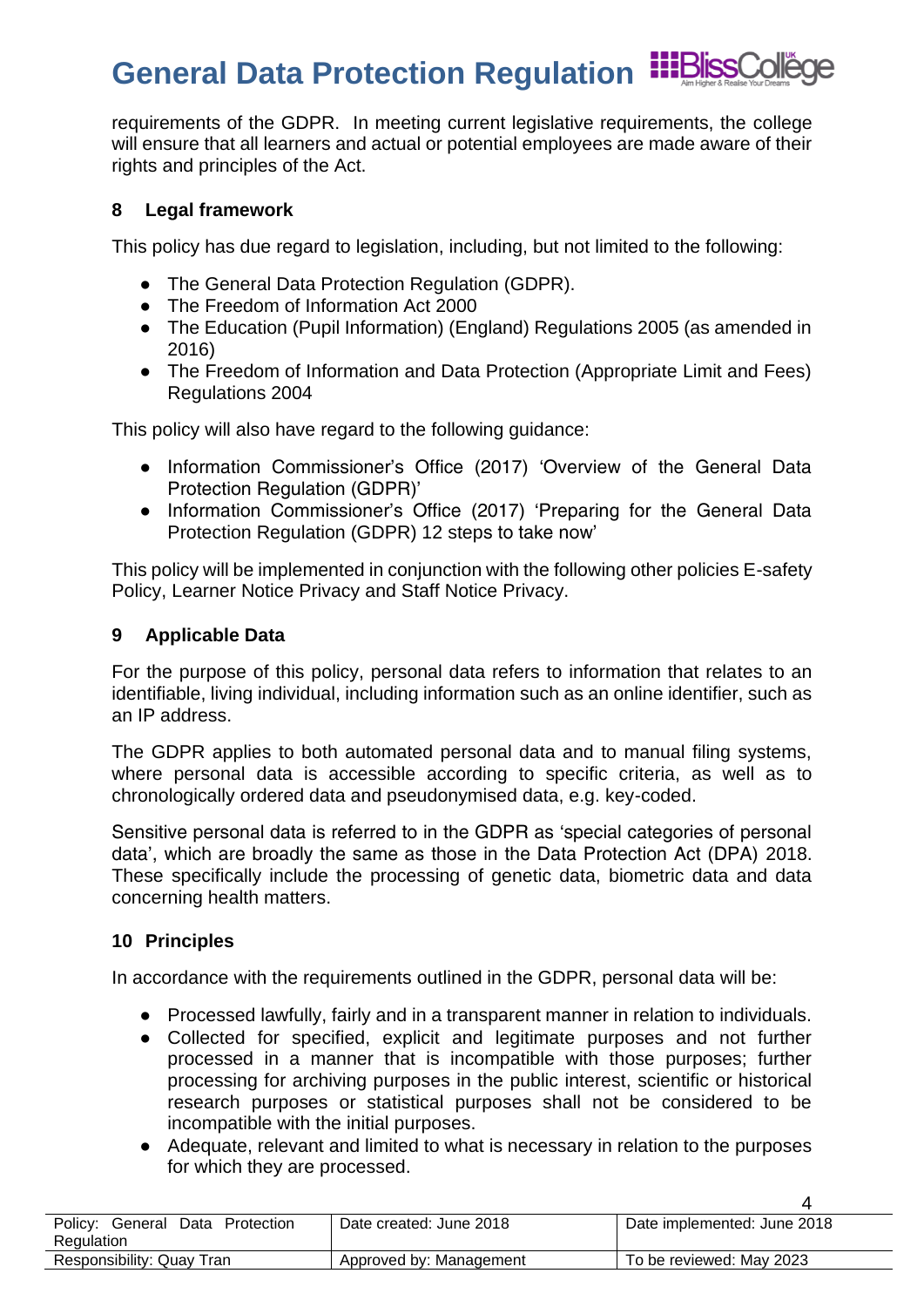requirements of the GDPR. In meeting current legislative requirements, the college will ensure that all learners and actual or potential employees are made aware of their rights and principles of the Act.

### <span id="page-3-0"></span>**8 Legal framework**

This policy has due regard to legislation, including, but not limited to the following:

- The General Data Protection Regulation (GDPR).
- The Freedom of Information Act 2000
- The Education (Pupil Information) (England) Regulations 2005 (as amended in 2016)
- The Freedom of Information and Data Protection (Appropriate Limit and Fees) Regulations 2004

This policy will also have regard to the following guidance:

- Information Commissioner's Office (2017) 'Overview of the General Data Protection Regulation (GDPR)'
- Information Commissioner's Office (2017) 'Preparing for the General Data Protection Regulation (GDPR) 12 steps to take now'

This policy will be implemented in conjunction with the following other policies E-safety Policy, Learner Notice Privacy and Staff Notice Privacy.

### <span id="page-3-1"></span>**9 Applicable Data**

For the purpose of this policy, personal data refers to information that relates to an identifiable, living individual, including information such as an online identifier, such as an IP address.

The GDPR applies to both automated personal data and to manual filing systems, where personal data is accessible according to specific criteria, as well as to chronologically ordered data and pseudonymised data, e.g. key-coded.

Sensitive personal data is referred to in the GDPR as 'special categories of personal data', which are broadly the same as those in the Data Protection Act (DPA) 2018. These specifically include the processing of genetic data, biometric data and data concerning health matters.

### <span id="page-3-2"></span>**10 Principles**

In accordance with the requirements outlined in the GDPR, personal data will be:

- Processed lawfully, fairly and in a transparent manner in relation to individuals.
- Collected for specified, explicit and legitimate purposes and not further processed in a manner that is incompatible with those purposes; further processing for archiving purposes in the public interest, scientific or historical research purposes or statistical purposes shall not be considered to be incompatible with the initial purposes.
- Adequate, relevant and limited to what is necessary in relation to the purposes for which they are processed.

| Data Protection<br>Policy:<br>General<br>Regulation | Date created: June 2018 | Date implemented: June 2018 |
|-----------------------------------------------------|-------------------------|-----------------------------|
| Responsibility: Quay Tran                           | Approved by: Management | To be reviewed: May 2023    |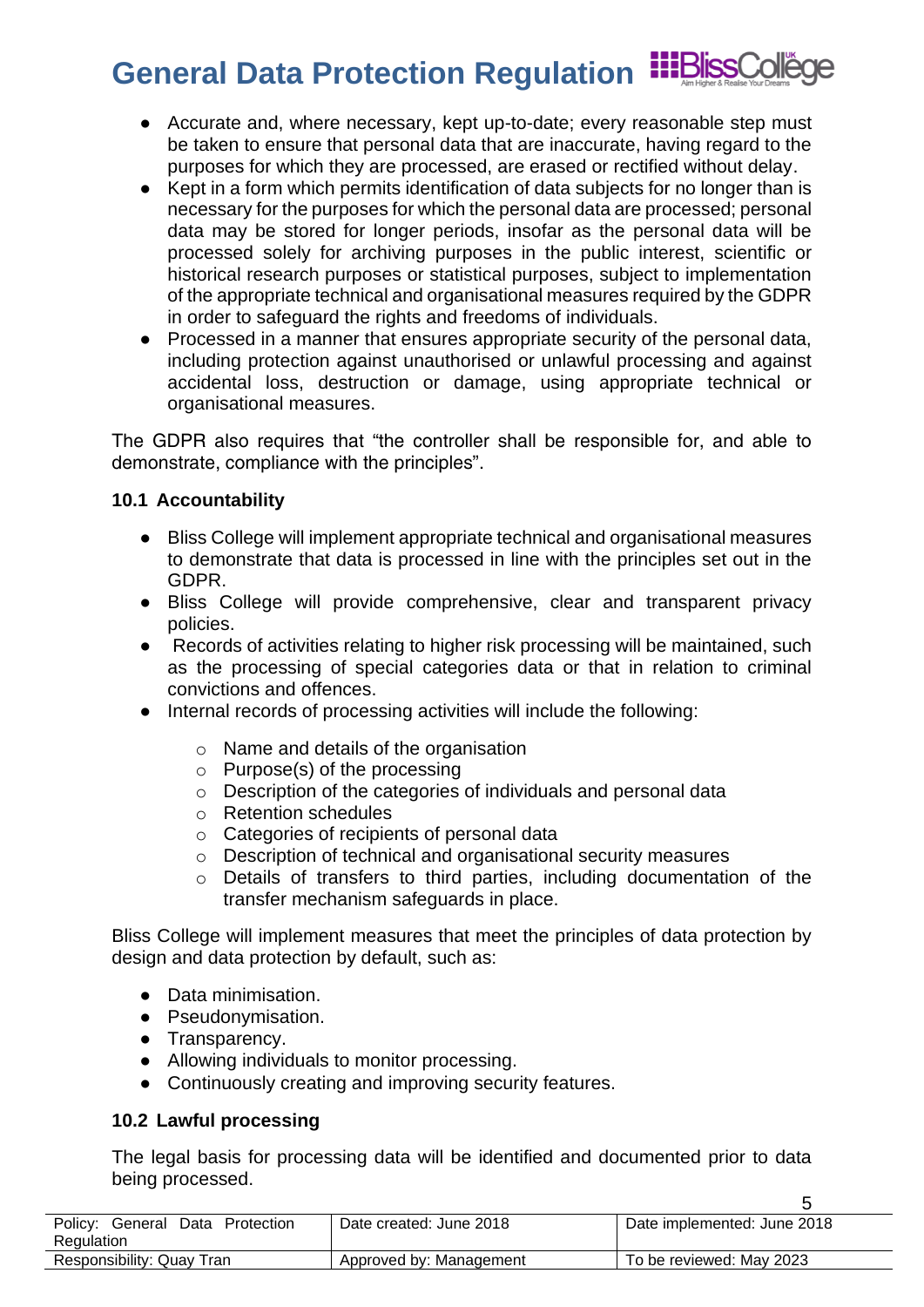- Accurate and, where necessary, kept up-to-date; every reasonable step must be taken to ensure that personal data that are inaccurate, having regard to the purposes for which they are processed, are erased or rectified without delay.
- Kept in a form which permits identification of data subjects for no longer than is necessary for the purposes for which the personal data are processed; personal data may be stored for longer periods, insofar as the personal data will be processed solely for archiving purposes in the public interest, scientific or historical research purposes or statistical purposes, subject to implementation of the appropriate technical and organisational measures required by the GDPR in order to safeguard the rights and freedoms of individuals.
- Processed in a manner that ensures appropriate security of the personal data, including protection against unauthorised or unlawful processing and against accidental loss, destruction or damage, using appropriate technical or organisational measures.

The GDPR also requires that "the controller shall be responsible for, and able to demonstrate, compliance with the principles".

### <span id="page-4-0"></span>**10.1 Accountability**

- Bliss College will implement appropriate technical and organisational measures to demonstrate that data is processed in line with the principles set out in the GDPR.
- Bliss College will provide comprehensive, clear and transparent privacy policies.
- Records of activities relating to higher risk processing will be maintained, such as the processing of special categories data or that in relation to criminal convictions and offences.
- Internal records of processing activities will include the following:
	- o Name and details of the organisation
	- o Purpose(s) of the processing
	- o Description of the categories of individuals and personal data
	- o Retention schedules
	- o Categories of recipients of personal data
	- o Description of technical and organisational security measures
	- o Details of transfers to third parties, including documentation of the transfer mechanism safeguards in place.

Bliss College will implement measures that meet the principles of data protection by design and data protection by default, such as:

- Data minimisation.
- Pseudonymisation.
- Transparency.
- Allowing individuals to monitor processing.
- Continuously creating and improving security features.

### <span id="page-4-1"></span>**10.2 Lawful processing**

The legal basis for processing data will be identified and documented prior to data being processed.

| Policv:<br>Data Protection<br>General<br>Regulation | Date created: June 2018 | Date implemented: June 2018 |
|-----------------------------------------------------|-------------------------|-----------------------------|
| Responsibility: Quay Tran                           | Approved by: Management | To be reviewed: May 2023    |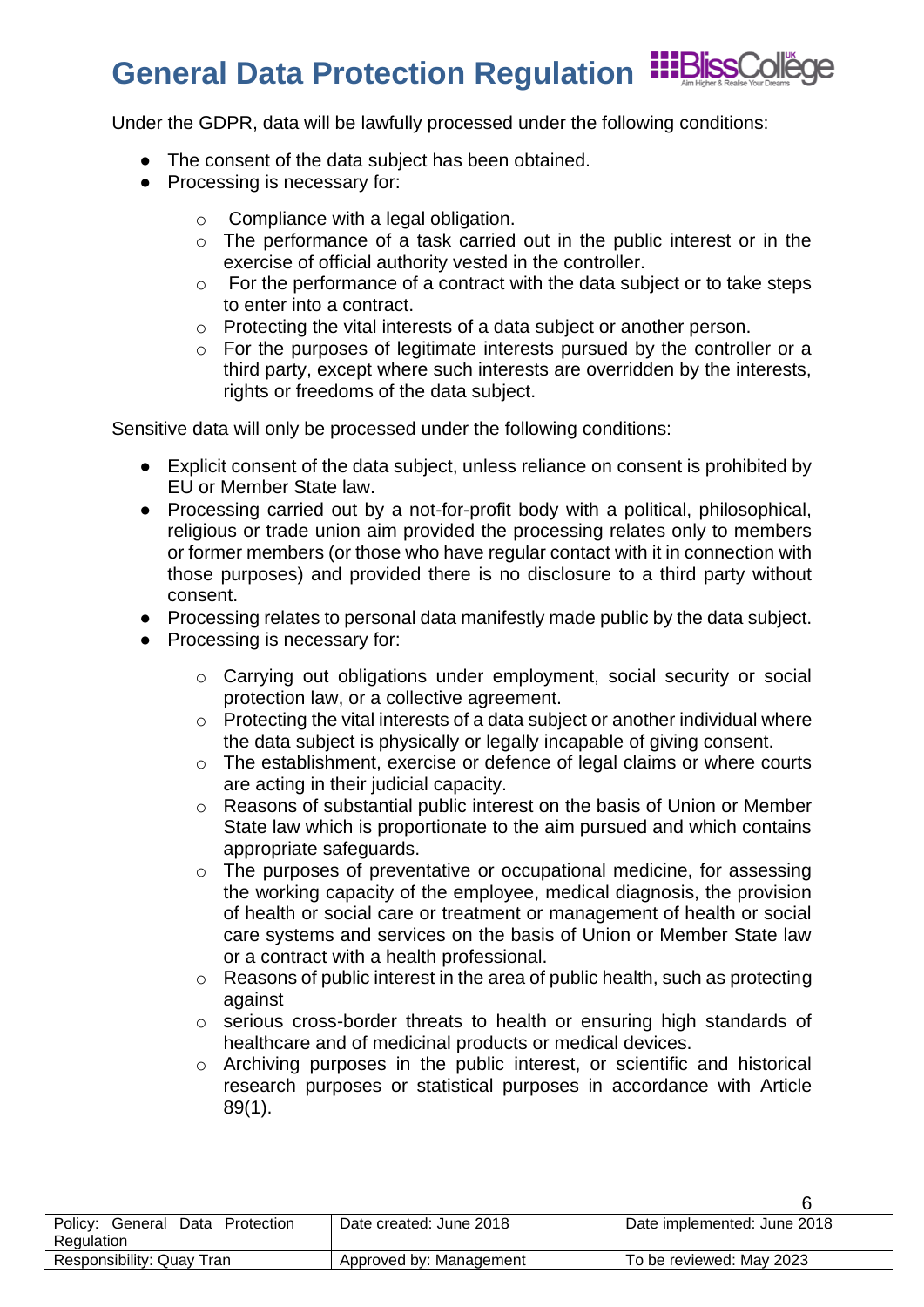## **General Data Protection Regulation**

Under the GDPR, data will be lawfully processed under the following conditions:

- The consent of the data subject has been obtained.
- Processing is necessary for:
	- o Compliance with a legal obligation.
	- o The performance of a task carried out in the public interest or in the exercise of official authority vested in the controller.
	- o For the performance of a contract with the data subject or to take steps to enter into a contract.
	- o Protecting the vital interests of a data subject or another person.
	- o For the purposes of legitimate interests pursued by the controller or a third party, except where such interests are overridden by the interests, rights or freedoms of the data subject.

Sensitive data will only be processed under the following conditions:

- Explicit consent of the data subject, unless reliance on consent is prohibited by EU or Member State law.
- Processing carried out by a not-for-profit body with a political, philosophical, religious or trade union aim provided the processing relates only to members or former members (or those who have regular contact with it in connection with those purposes) and provided there is no disclosure to a third party without consent.
- Processing relates to personal data manifestly made public by the data subject.
- Processing is necessary for:
	- o Carrying out obligations under employment, social security or social protection law, or a collective agreement.
	- o Protecting the vital interests of a data subject or another individual where the data subject is physically or legally incapable of giving consent.
	- o The establishment, exercise or defence of legal claims or where courts are acting in their judicial capacity.
	- o Reasons of substantial public interest on the basis of Union or Member State law which is proportionate to the aim pursued and which contains appropriate safeguards.
	- o The purposes of preventative or occupational medicine, for assessing the working capacity of the employee, medical diagnosis, the provision of health or social care or treatment or management of health or social care systems and services on the basis of Union or Member State law or a contract with a health professional.
	- o Reasons of public interest in the area of public health, such as protecting against
	- o serious cross-border threats to health or ensuring high standards of healthcare and of medicinal products or medical devices.
	- o Archiving purposes in the public interest, or scientific and historical research purposes or statistical purposes in accordance with Article 89(1).

| Policy: General Data Protection | Date created: June 2018 | Date implemented: June 2018 |
|---------------------------------|-------------------------|-----------------------------|
| Regulation                      |                         |                             |
| Responsibility: Quay Tran       | Approved by: Management | To be reviewed: May 2023    |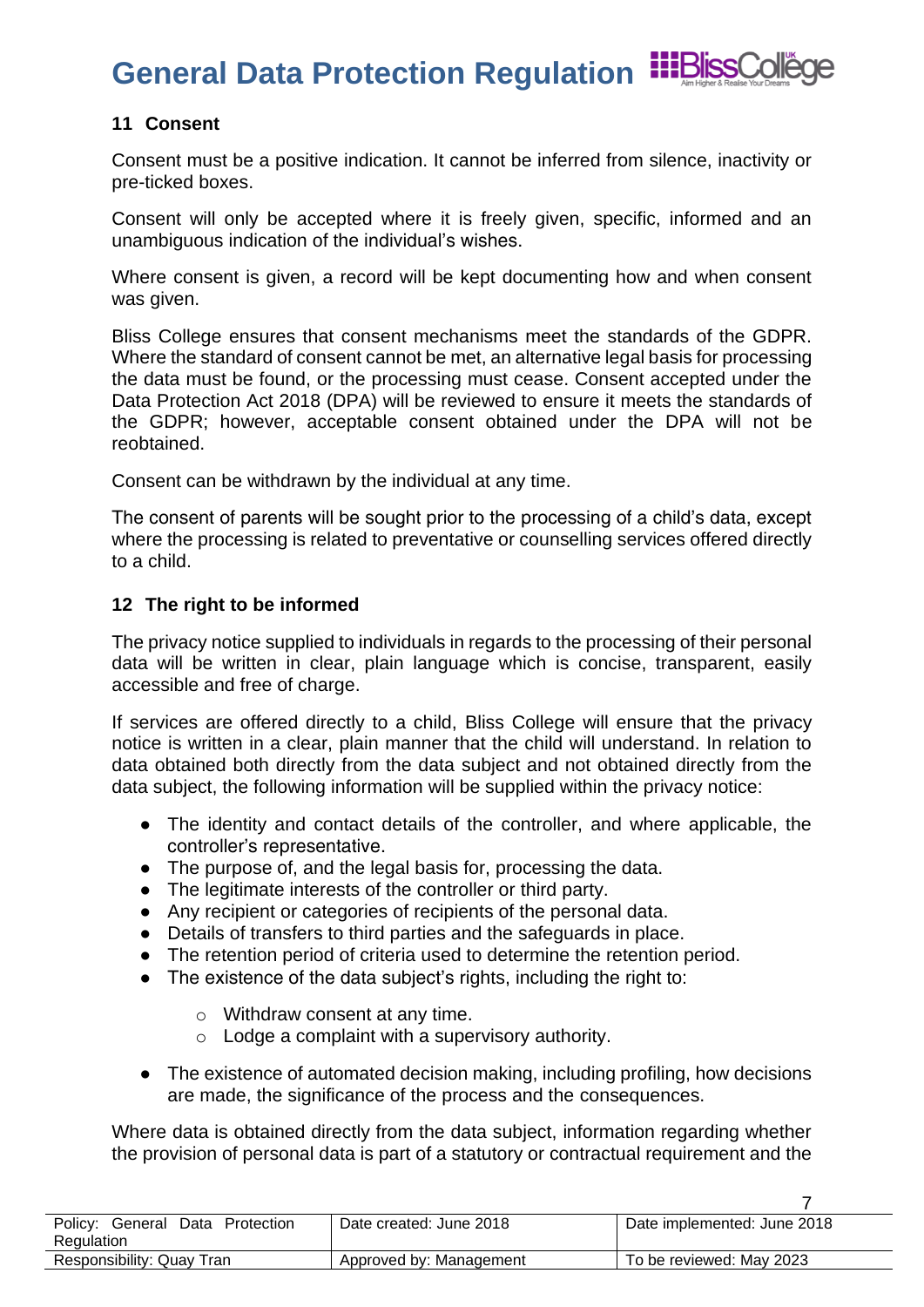

7

### <span id="page-6-0"></span>**11 Consent**

Consent must be a positive indication. It cannot be inferred from silence, inactivity or pre-ticked boxes.

Consent will only be accepted where it is freely given, specific, informed and an unambiguous indication of the individual's wishes.

Where consent is given, a record will be kept documenting how and when consent was given.

Bliss College ensures that consent mechanisms meet the standards of the GDPR. Where the standard of consent cannot be met, an alternative legal basis for processing the data must be found, or the processing must cease. Consent accepted under the Data Protection Act 2018 (DPA) will be reviewed to ensure it meets the standards of the GDPR; however, acceptable consent obtained under the DPA will not be reobtained.

Consent can be withdrawn by the individual at any time.

The consent of parents will be sought prior to the processing of a child's data, except where the processing is related to preventative or counselling services offered directly to a child.

### <span id="page-6-1"></span>**12 The right to be informed**

The privacy notice supplied to individuals in regards to the processing of their personal data will be written in clear, plain language which is concise, transparent, easily accessible and free of charge.

If services are offered directly to a child, Bliss College will ensure that the privacy notice is written in a clear, plain manner that the child will understand. In relation to data obtained both directly from the data subject and not obtained directly from the data subject, the following information will be supplied within the privacy notice:

- The identity and contact details of the controller, and where applicable, the controller's representative.
- The purpose of, and the legal basis for, processing the data.
- The legitimate interests of the controller or third party.
- Any recipient or categories of recipients of the personal data.
- Details of transfers to third parties and the safeguards in place.
- The retention period of criteria used to determine the retention period.
- The existence of the data subject's rights, including the right to:
	- o Withdraw consent at any time.
	- $\circ$  Lodge a complaint with a supervisory authority.
- The existence of automated decision making, including profiling, how decisions are made, the significance of the process and the consequences.

Where data is obtained directly from the data subiect, information regarding whether the provision of personal data is part of a statutory or contractual requirement and the

| Policy: General<br>Data Protection<br>Regulation | Date created: June 2018 | Date implemented: June 2018 |
|--------------------------------------------------|-------------------------|-----------------------------|
| Responsibility: Quay Tran                        | Approved by: Management | To be reviewed: May 2023    |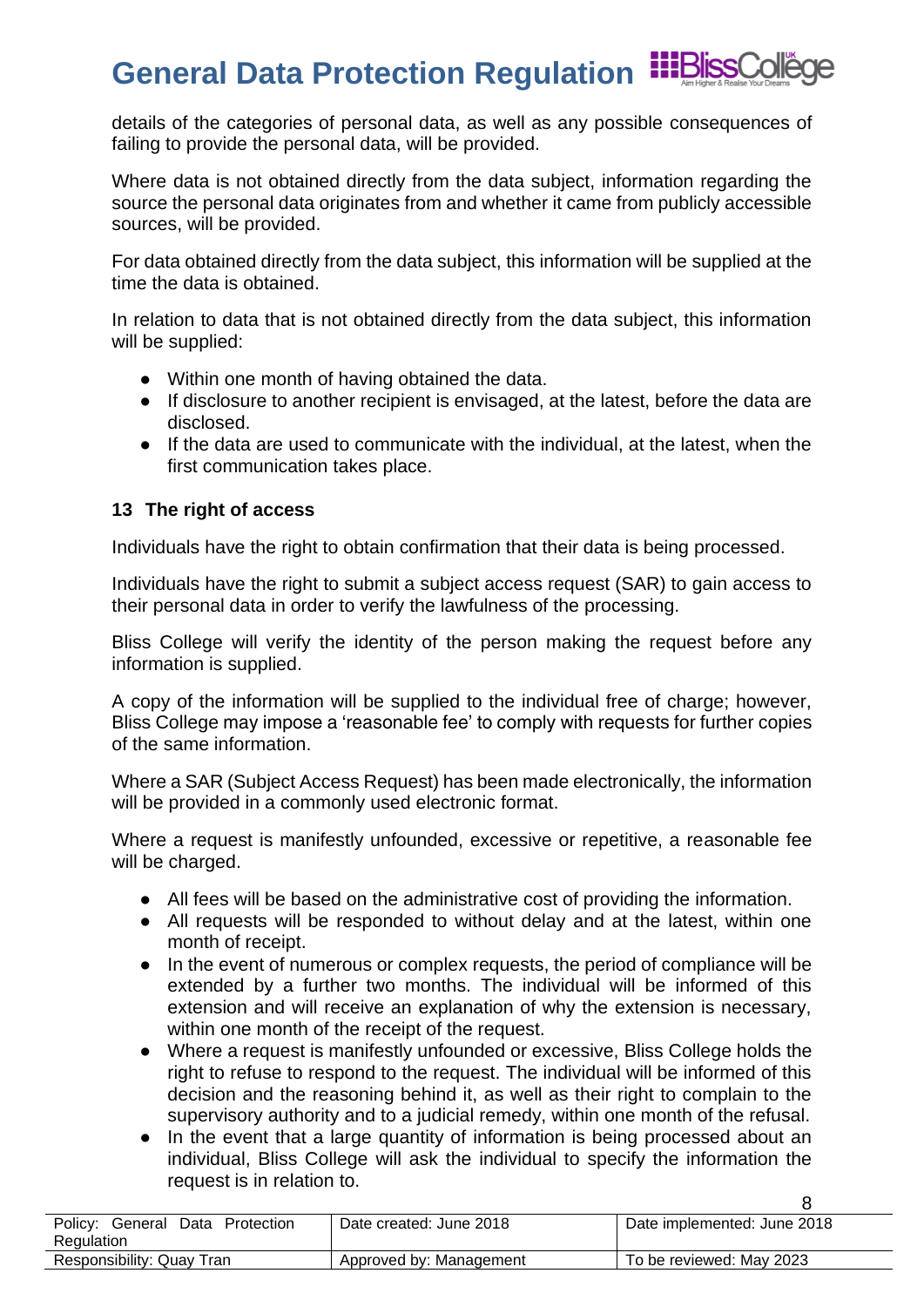details of the categories of personal data, as well as any possible consequences of failing to provide the personal data, will be provided.

Where data is not obtained directly from the data subject, information regarding the source the personal data originates from and whether it came from publicly accessible sources, will be provided.

For data obtained directly from the data subject, this information will be supplied at the time the data is obtained.

In relation to data that is not obtained directly from the data subject, this information will be supplied:

- Within one month of having obtained the data.
- If disclosure to another recipient is envisaged, at the latest, before the data are disclosed.
- If the data are used to communicate with the individual, at the latest, when the first communication takes place.

### <span id="page-7-0"></span>**13 The right of access**

Individuals have the right to obtain confirmation that their data is being processed.

Individuals have the right to submit a subject access request (SAR) to gain access to their personal data in order to verify the lawfulness of the processing.

Bliss College will verify the identity of the person making the request before any information is supplied.

A copy of the information will be supplied to the individual free of charge; however, Bliss College may impose a 'reasonable fee' to comply with requests for further copies of the same information.

Where a SAR (Subject Access Request) has been made electronically, the information will be provided in a commonly used electronic format.

Where a request is manifestly unfounded, excessive or repetitive, a reasonable fee will be charged.

- All fees will be based on the administrative cost of providing the information.
- All requests will be responded to without delay and at the latest, within one month of receipt.
- In the event of numerous or complex requests, the period of compliance will be extended by a further two months. The individual will be informed of this extension and will receive an explanation of why the extension is necessary, within one month of the receipt of the request.
- Where a request is manifestly unfounded or excessive, Bliss College holds the right to refuse to respond to the request. The individual will be informed of this decision and the reasoning behind it, as well as their right to complain to the supervisory authority and to a judicial remedy, within one month of the refusal.
- In the event that a large quantity of information is being processed about an individual, Bliss College will ask the individual to specify the information the request is in relation to.

| Policy: General Data Protection | Date created: June 2018 | Date implemented: June 2018 |
|---------------------------------|-------------------------|-----------------------------|
| Regulation                      |                         |                             |
| Responsibility: Quay Tran       | Approved by: Management | To be reviewed: May 2023    |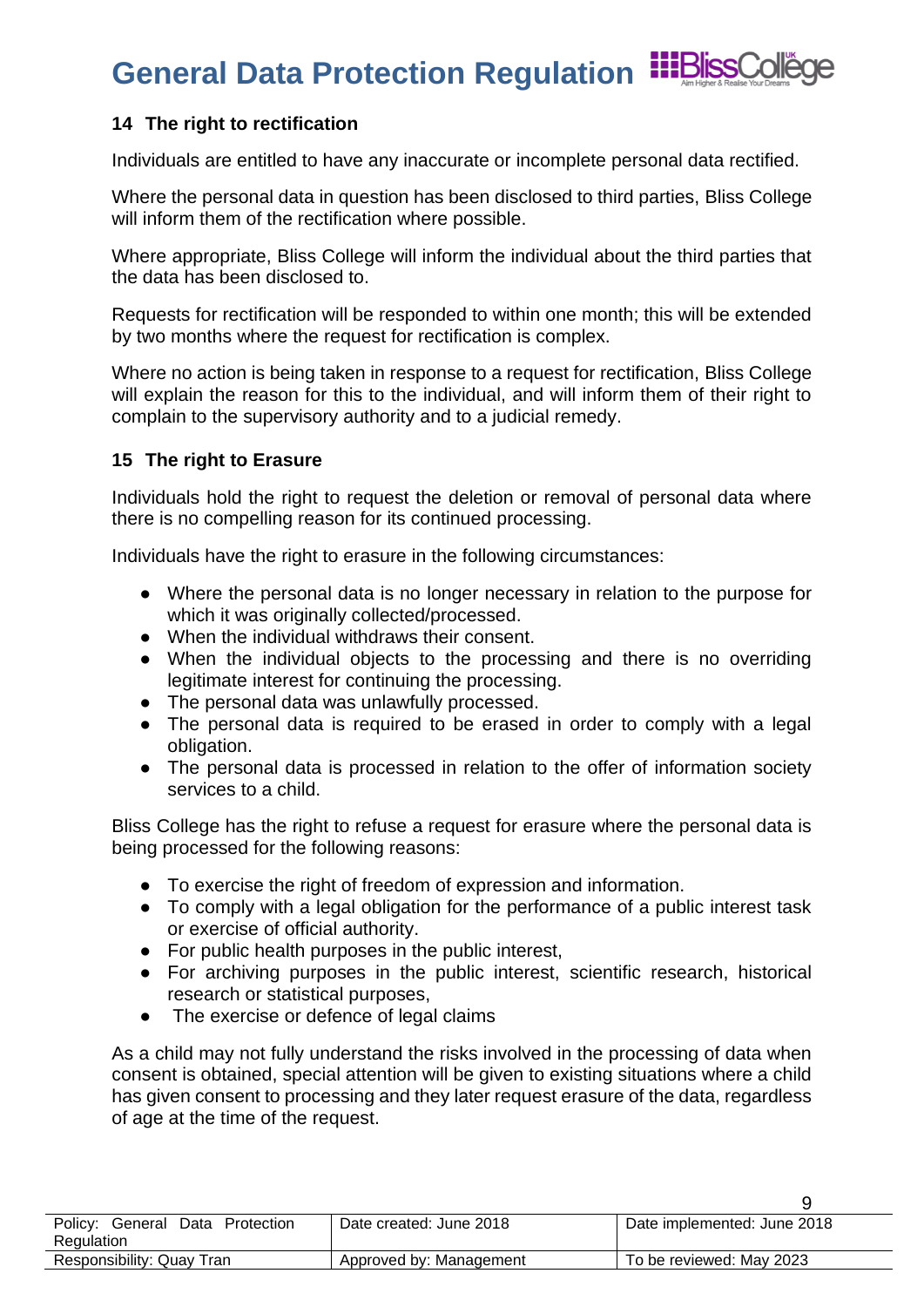# **General Data Protection Regulation Figures**

### <span id="page-8-0"></span>**14 The right to rectification**

Individuals are entitled to have any inaccurate or incomplete personal data rectified.

Where the personal data in question has been disclosed to third parties, Bliss College will inform them of the rectification where possible.

Where appropriate, Bliss College will inform the individual about the third parties that the data has been disclosed to.

Requests for rectification will be responded to within one month; this will be extended by two months where the request for rectification is complex.

Where no action is being taken in response to a request for rectification, Bliss College will explain the reason for this to the individual, and will inform them of their right to complain to the supervisory authority and to a judicial remedy.

#### <span id="page-8-1"></span>**15 The right to Erasure**

Individuals hold the right to request the deletion or removal of personal data where there is no compelling reason for its continued processing.

Individuals have the right to erasure in the following circumstances:

- Where the personal data is no longer necessary in relation to the purpose for which it was originally collected/processed.
- When the individual withdraws their consent.
- When the individual objects to the processing and there is no overriding legitimate interest for continuing the processing.
- The personal data was unlawfully processed.
- The personal data is required to be erased in order to comply with a legal obligation.
- The personal data is processed in relation to the offer of information society services to a child.

Bliss College has the right to refuse a request for erasure where the personal data is being processed for the following reasons:

- To exercise the right of freedom of expression and information.
- To comply with a legal obligation for the performance of a public interest task or exercise of official authority.
- For public health purposes in the public interest,
- For archiving purposes in the public interest, scientific research, historical research or statistical purposes,
- The exercise or defence of legal claims

As a child may not fully understand the risks involved in the processing of data when consent is obtained, special attention will be given to existing situations where a child has given consent to processing and they later request erasure of the data, regardless of age at the time of the request.

| Policy: General Data Protection | Date created: June 2018 | Date implemented: June 2018 |
|---------------------------------|-------------------------|-----------------------------|
| Regulation                      |                         |                             |
| Responsibility: Quay Tran       | Approved by: Management | To be reviewed: May 2023    |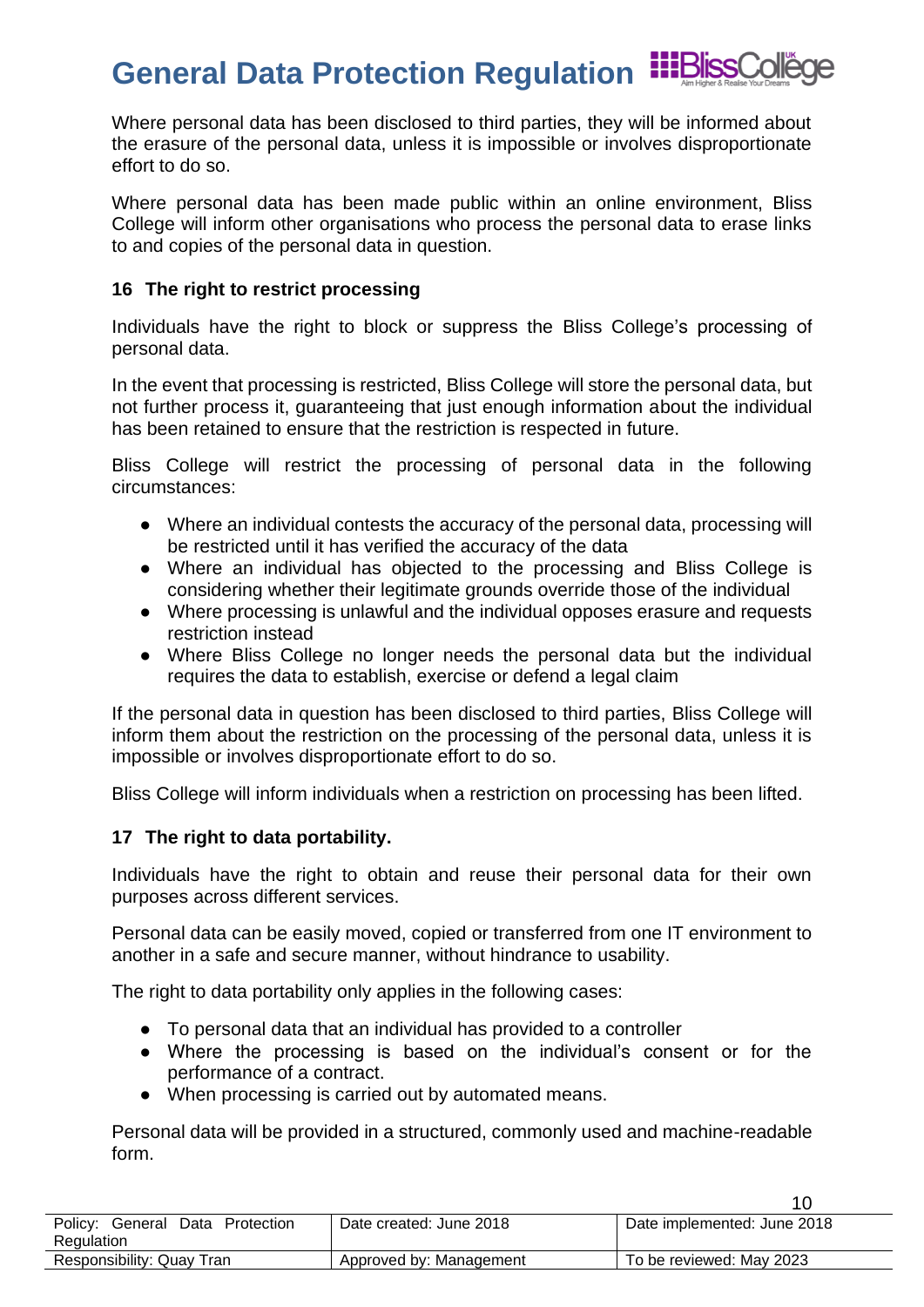Where personal data has been disclosed to third parties, they will be informed about the erasure of the personal data, unless it is impossible or involves disproportionate effort to do so.

Where personal data has been made public within an online environment, Bliss College will inform other organisations who process the personal data to erase links to and copies of the personal data in question.

### <span id="page-9-0"></span>**16 The right to restrict processing**

Individuals have the right to block or suppress the Bliss College's processing of personal data.

In the event that processing is restricted, Bliss College will store the personal data, but not further process it, guaranteeing that just enough information about the individual has been retained to ensure that the restriction is respected in future.

Bliss College will restrict the processing of personal data in the following circumstances:

- Where an individual contests the accuracy of the personal data, processing will be restricted until it has verified the accuracy of the data
- Where an individual has objected to the processing and Bliss College is considering whether their legitimate grounds override those of the individual
- Where processing is unlawful and the individual opposes erasure and requests restriction instead
- Where Bliss College no longer needs the personal data but the individual requires the data to establish, exercise or defend a legal claim

If the personal data in question has been disclosed to third parties, Bliss College will inform them about the restriction on the processing of the personal data, unless it is impossible or involves disproportionate effort to do so.

Bliss College will inform individuals when a restriction on processing has been lifted.

### <span id="page-9-1"></span>**17 The right to data portability.**

Individuals have the right to obtain and reuse their personal data for their own purposes across different services.

Personal data can be easily moved, copied or transferred from one IT environment to another in a safe and secure manner, without hindrance to usability.

The right to data portability only applies in the following cases:

- To personal data that an individual has provided to a controller
- Where the processing is based on the individual's consent or for the performance of a contract.
- When processing is carried out by automated means.

Personal data will be provided in a structured, commonly used and machine-readable form.

Policy: General Data Protection **Regulation** Date created: June 2018 | Date implemented: June 2018 Responsibility: Quay Tran <br>Approved by: Management To be reviewed: May 2023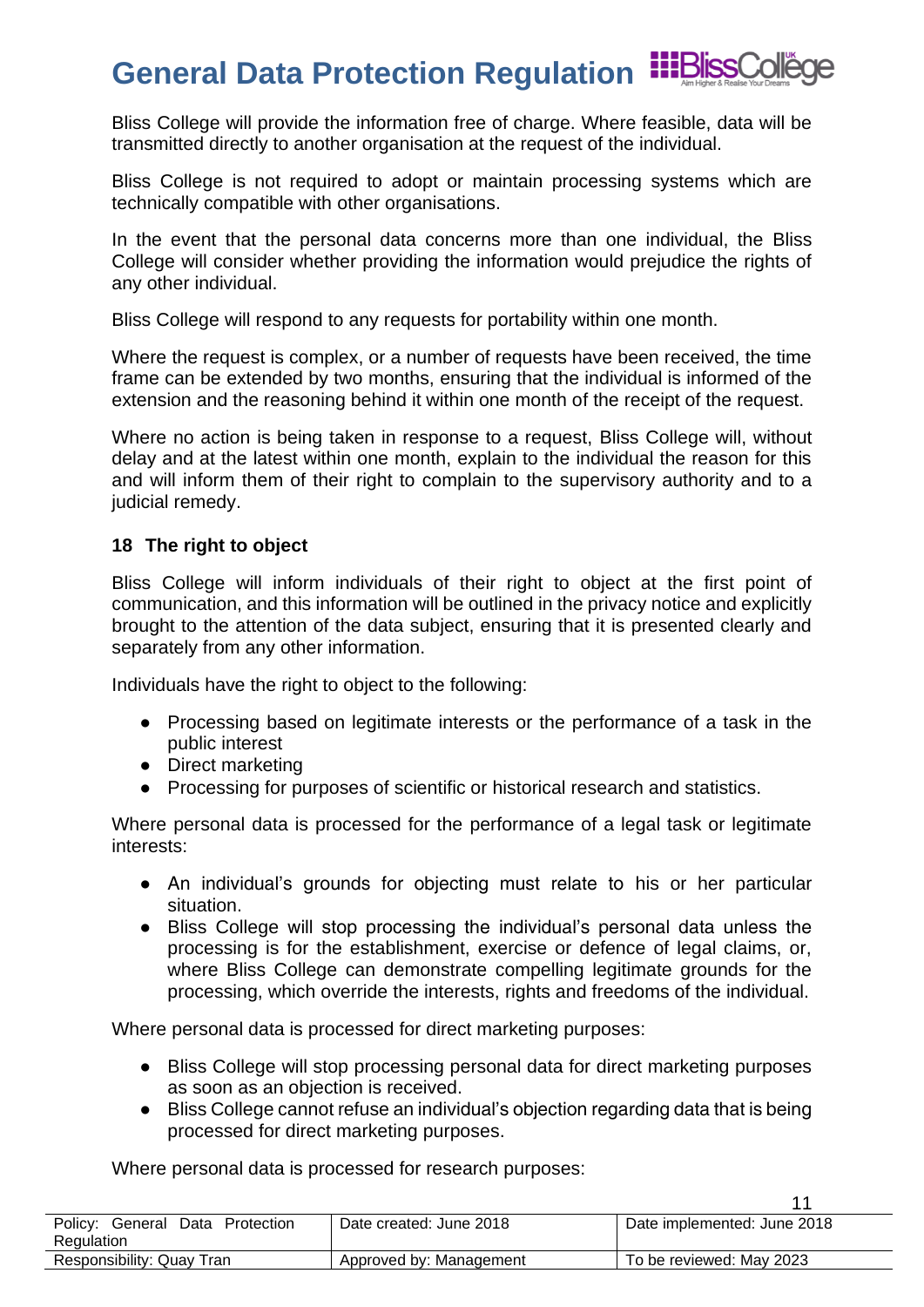

Bliss College will provide the information free of charge. Where feasible, data will be transmitted directly to another organisation at the request of the individual.

Bliss College is not required to adopt or maintain processing systems which are technically compatible with other organisations.

In the event that the personal data concerns more than one individual, the Bliss College will consider whether providing the information would prejudice the rights of any other individual.

Bliss College will respond to any requests for portability within one month.

Where the request is complex, or a number of requests have been received, the time frame can be extended by two months, ensuring that the individual is informed of the extension and the reasoning behind it within one month of the receipt of the request.

Where no action is being taken in response to a request, Bliss College will, without delay and at the latest within one month, explain to the individual the reason for this and will inform them of their right to complain to the supervisory authority and to a judicial remedy.

#### <span id="page-10-0"></span>**18 The right to object**

Bliss College will inform individuals of their right to object at the first point of communication, and this information will be outlined in the privacy notice and explicitly brought to the attention of the data subject, ensuring that it is presented clearly and separately from any other information.

Individuals have the right to object to the following:

- Processing based on legitimate interests or the performance of a task in the public interest
- Direct marketing
- Processing for purposes of scientific or historical research and statistics.

Where personal data is processed for the performance of a legal task or legitimate interests:

- An individual's grounds for objecting must relate to his or her particular situation.
- Bliss College will stop processing the individual's personal data unless the processing is for the establishment, exercise or defence of legal claims, or, where Bliss College can demonstrate compelling legitimate grounds for the processing, which override the interests, rights and freedoms of the individual.

Where personal data is processed for direct marketing purposes:

- Bliss College will stop processing personal data for direct marketing purposes as soon as an objection is received.
- Bliss College cannot refuse an individual's objection regarding data that is being processed for direct marketing purposes.

11

Where personal data is processed for research purposes:

| Policy: General<br>Data<br>Protection<br>Regulation | Date created: June 2018 | Date implemented: June 2018 |
|-----------------------------------------------------|-------------------------|-----------------------------|
| Responsibility: Quay Tran                           | Approved by: Management | To be reviewed: May 2023    |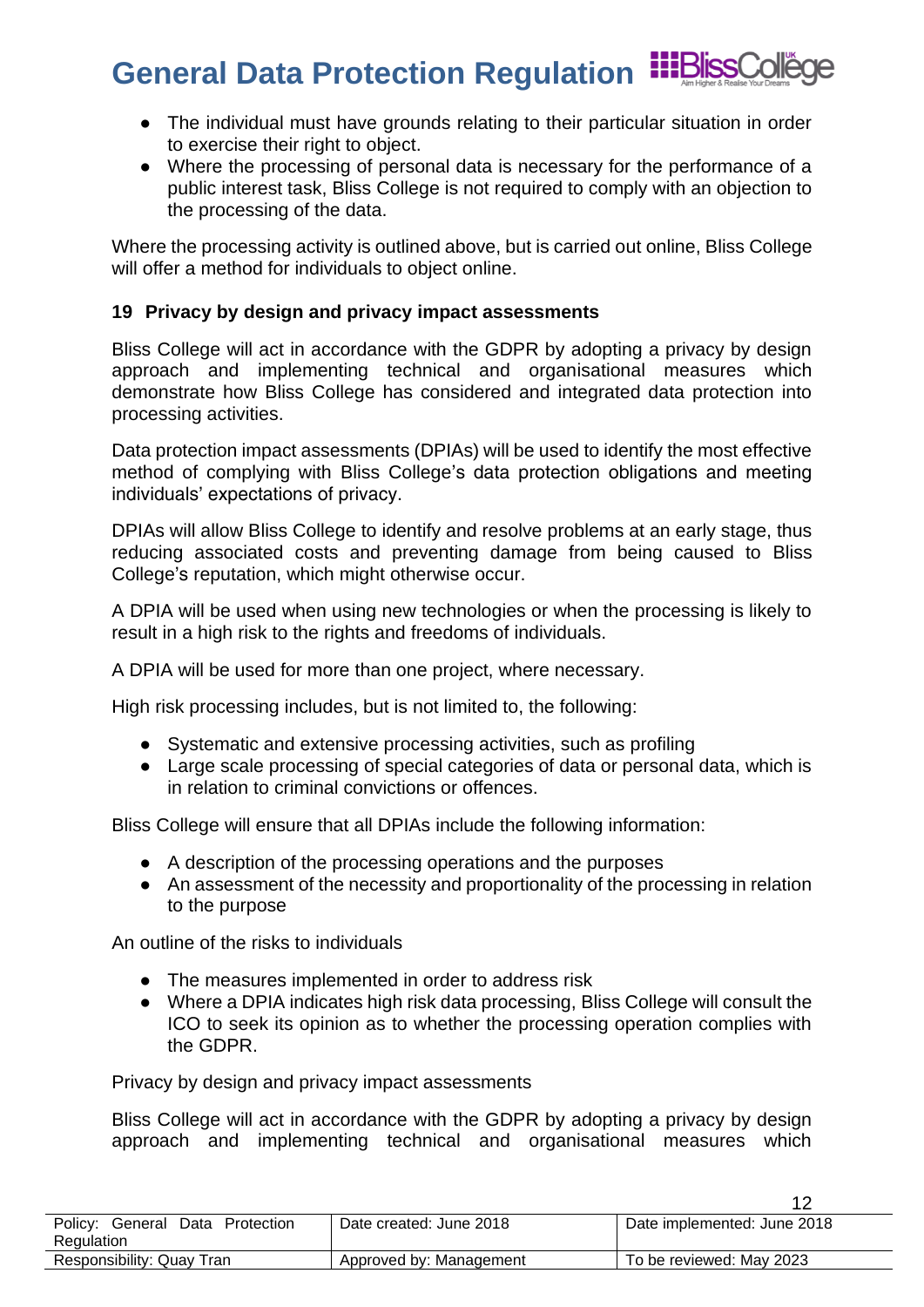- The individual must have grounds relating to their particular situation in order to exercise their right to object.
- Where the processing of personal data is necessary for the performance of a public interest task, Bliss College is not required to comply with an objection to the processing of the data.

Where the processing activity is outlined above, but is carried out online, Bliss College will offer a method for individuals to object online.

### <span id="page-11-0"></span>**19 Privacy by design and privacy impact assessments**

Bliss College will act in accordance with the GDPR by adopting a privacy by design approach and implementing technical and organisational measures which demonstrate how Bliss College has considered and integrated data protection into processing activities.

Data protection impact assessments (DPIAs) will be used to identify the most effective method of complying with Bliss College's data protection obligations and meeting individuals' expectations of privacy.

DPIAs will allow Bliss College to identify and resolve problems at an early stage, thus reducing associated costs and preventing damage from being caused to Bliss College's reputation, which might otherwise occur.

A DPIA will be used when using new technologies or when the processing is likely to result in a high risk to the rights and freedoms of individuals.

A DPIA will be used for more than one project, where necessary.

High risk processing includes, but is not limited to, the following:

- Systematic and extensive processing activities, such as profiling
- Large scale processing of special categories of data or personal data, which is in relation to criminal convictions or offences.

Bliss College will ensure that all DPIAs include the following information:

- A description of the processing operations and the purposes
- An assessment of the necessity and proportionality of the processing in relation to the purpose

An outline of the risks to individuals

- The measures implemented in order to address risk
- Where a DPIA indicates high risk data processing, Bliss College will consult the ICO to seek its opinion as to whether the processing operation complies with the GDPR.

Privacy by design and privacy impact assessments

Bliss College will act in accordance with the GDPR by adopting a privacy by design approach and implementing technical and organisational measures which

| Policy:<br>Protection<br>Data<br>General<br>Regulation | Date created: June 2018 | Date implemented: June 2018 |
|--------------------------------------------------------|-------------------------|-----------------------------|
| Responsibility: Quay Tran                              | Approved by: Management | To be reviewed: May 2023    |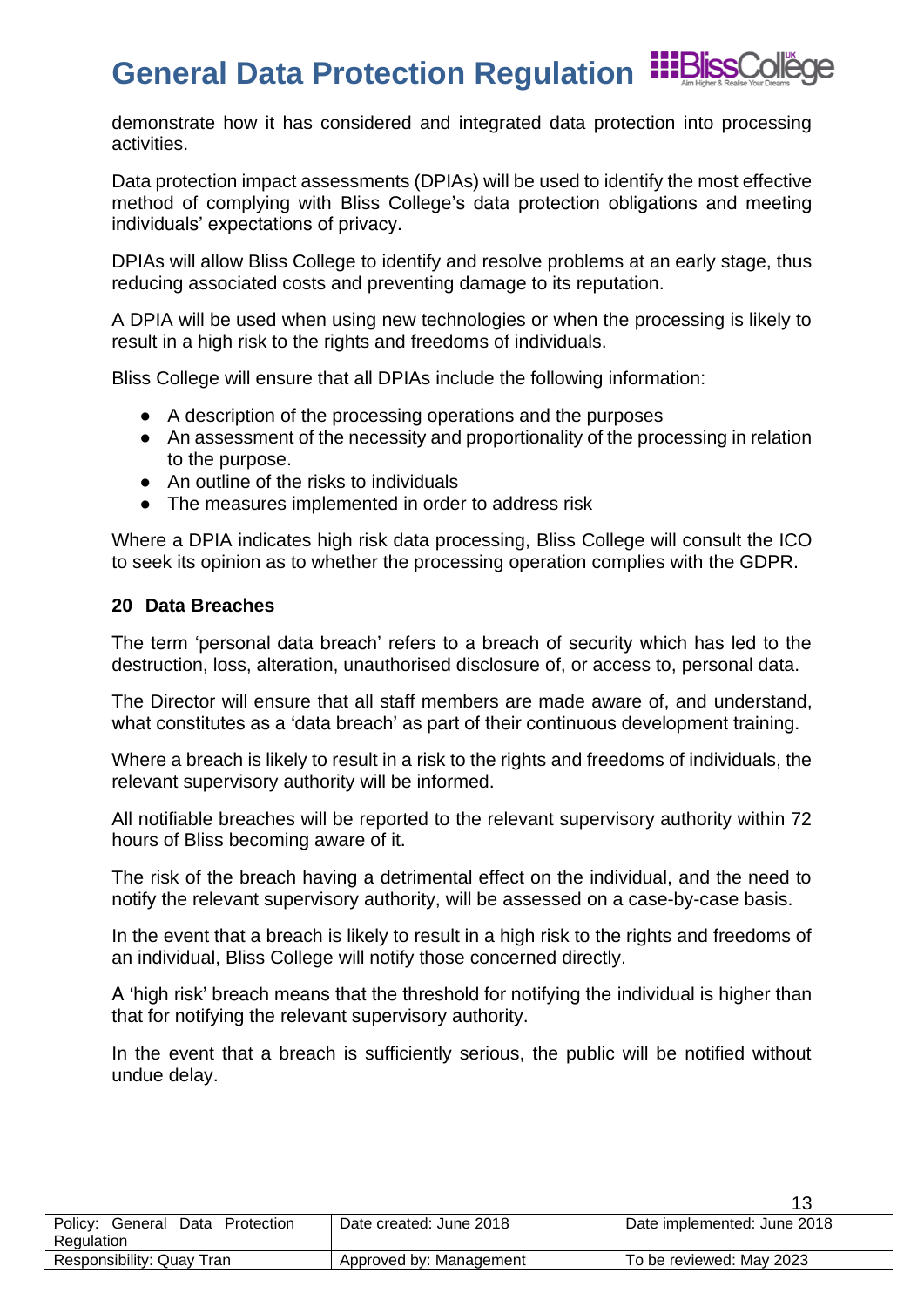demonstrate how it has considered and integrated data protection into processing activities.

Data protection impact assessments (DPIAs) will be used to identify the most effective method of complying with Bliss College's data protection obligations and meeting individuals' expectations of privacy.

DPIAs will allow Bliss College to identify and resolve problems at an early stage, thus reducing associated costs and preventing damage to its reputation.

A DPIA will be used when using new technologies or when the processing is likely to result in a high risk to the rights and freedoms of individuals.

Bliss College will ensure that all DPIAs include the following information:

- A description of the processing operations and the purposes
- An assessment of the necessity and proportionality of the processing in relation to the purpose.
- An outline of the risks to individuals
- The measures implemented in order to address risk

Where a DPIA indicates high risk data processing, Bliss College will consult the ICO to seek its opinion as to whether the processing operation complies with the GDPR.

### <span id="page-12-0"></span>**20 Data Breaches**

The term 'personal data breach' refers to a breach of security which has led to the destruction, loss, alteration, unauthorised disclosure of, or access to, personal data.

The Director will ensure that all staff members are made aware of, and understand, what constitutes as a 'data breach' as part of their continuous development training.

Where a breach is likely to result in a risk to the rights and freedoms of individuals, the relevant supervisory authority will be informed.

All notifiable breaches will be reported to the relevant supervisory authority within 72 hours of Bliss becoming aware of it.

The risk of the breach having a detrimental effect on the individual, and the need to notify the relevant supervisory authority, will be assessed on a case-by-case basis.

In the event that a breach is likely to result in a high risk to the rights and freedoms of an individual, Bliss College will notify those concerned directly.

A 'high risk' breach means that the threshold for notifying the individual is higher than that for notifying the relevant supervisory authority.

In the event that a breach is sufficiently serious, the public will be notified without undue delay.

| Policy: General Data Protection | Date created: June 2018 | Date implemented: June 2018 |
|---------------------------------|-------------------------|-----------------------------|
| Regulation                      |                         |                             |
| Responsibility: Quay Tran       | Approved by: Management | To be reviewed: May 2023    |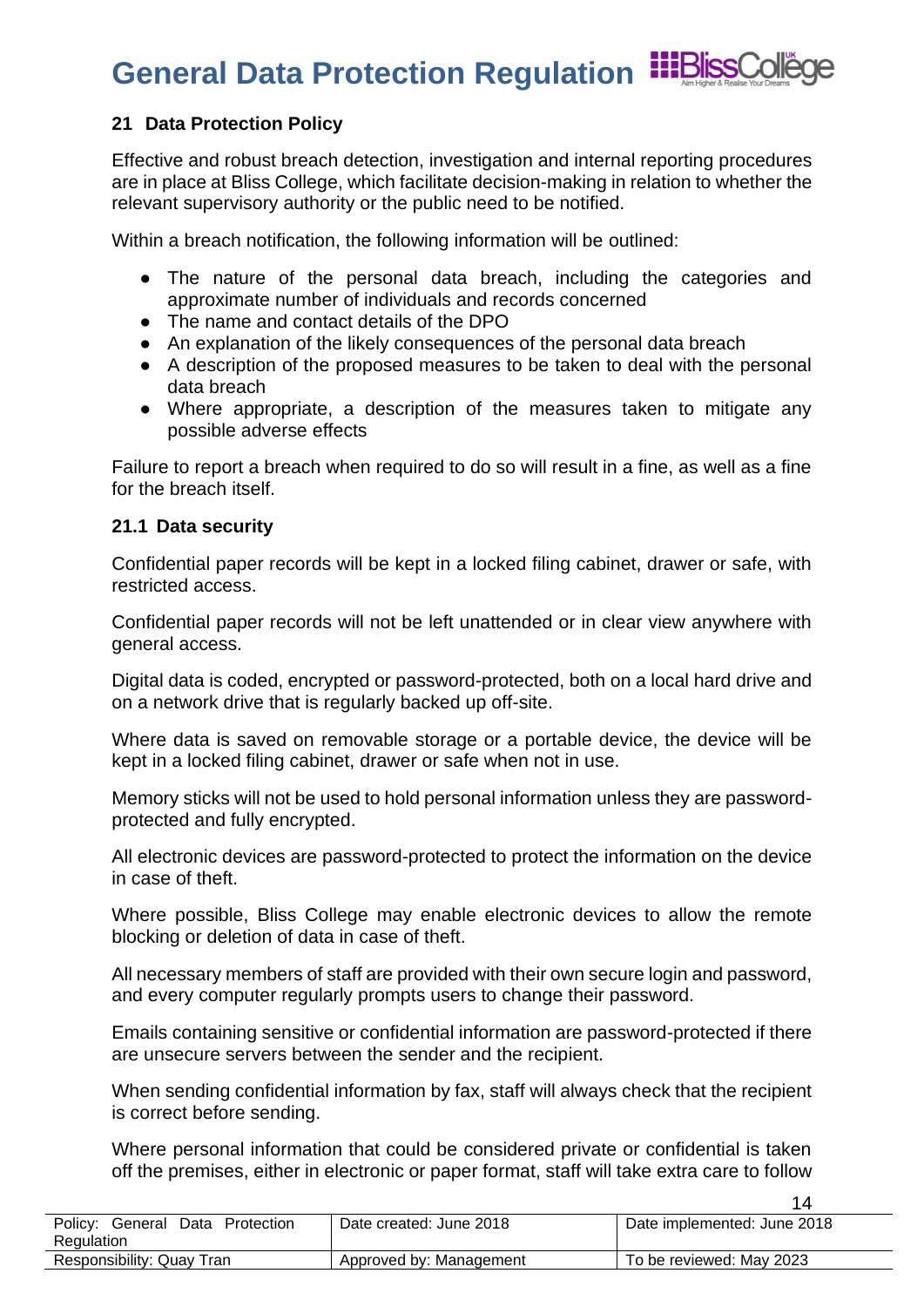### **General Data Protection Regulation**



### <span id="page-13-0"></span>**21 Data Protection Policy**

Effective and robust breach detection, investigation and internal reporting procedures are in place at Bliss College, which facilitate decision-making in relation to whether the relevant supervisory authority or the public need to be notified.

Within a breach notification, the following information will be outlined:

- The nature of the personal data breach, including the categories and approximate number of individuals and records concerned
- The name and contact details of the DPO
- An explanation of the likely consequences of the personal data breach
- A description of the proposed measures to be taken to deal with the personal data breach
- Where appropriate, a description of the measures taken to mitigate any possible adverse effects

Failure to report a breach when required to do so will result in a fine, as well as a fine for the breach itself.

### <span id="page-13-1"></span>**21.1 Data security**

Confidential paper records will be kept in a locked filing cabinet, drawer or safe, with restricted access.

Confidential paper records will not be left unattended or in clear view anywhere with general access.

Digital data is coded, encrypted or password-protected, both on a local hard drive and on a network drive that is regularly backed up off-site.

Where data is saved on removable storage or a portable device, the device will be kept in a locked filing cabinet, drawer or safe when not in use.

Memory sticks will not be used to hold personal information unless they are passwordprotected and fully encrypted.

All electronic devices are password-protected to protect the information on the device in case of theft.

Where possible, Bliss College may enable electronic devices to allow the remote blocking or deletion of data in case of theft.

All necessary members of staff are provided with their own secure login and password, and every computer regularly prompts users to change their password.

Emails containing sensitive or confidential information are password-protected if there are unsecure servers between the sender and the recipient.

When sending confidential information by fax, staff will always check that the recipient is correct before sending.

Where personal information that could be considered private or confidential is taken off the premises, either in electronic or paper format, staff will take extra care to follow

Policy: General Data Protection **Regulation** Date created: June 2018 **Date implemented: June 2018** Responsibility: Quay Tran <br>Approved by: Management To be reviewed: May 2023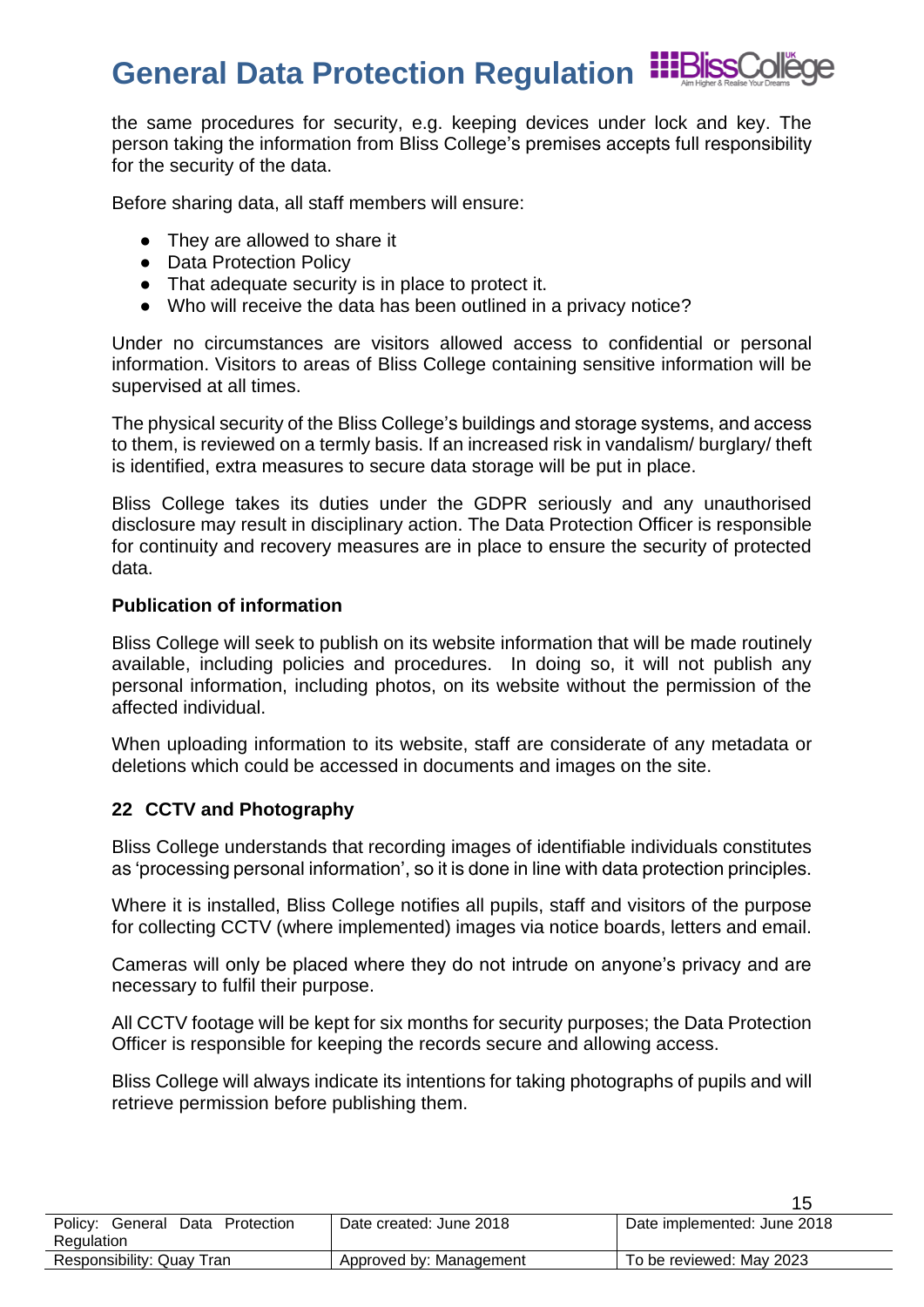the same procedures for security, e.g. keeping devices under lock and key. The person taking the information from Bliss College's premises accepts full responsibility for the security of the data.

Before sharing data, all staff members will ensure:

- They are allowed to share it
- Data Protection Policy
- That adequate security is in place to protect it.
- Who will receive the data has been outlined in a privacy notice?

Under no circumstances are visitors allowed access to confidential or personal information. Visitors to areas of Bliss College containing sensitive information will be supervised at all times.

The physical security of the Bliss College's buildings and storage systems, and access to them, is reviewed on a termly basis. If an increased risk in vandalism/ burglary/ theft is identified, extra measures to secure data storage will be put in place.

Bliss College takes its duties under the GDPR seriously and any unauthorised disclosure may result in disciplinary action. The Data Protection Officer is responsible for continuity and recovery measures are in place to ensure the security of protected data.

### **Publication of information**

Bliss College will seek to publish on its website information that will be made routinely available, including policies and procedures. In doing so, it will not publish any personal information, including photos, on its website without the permission of the affected individual.

When uploading information to its website, staff are considerate of any metadata or deletions which could be accessed in documents and images on the site.

### <span id="page-14-0"></span>**22 CCTV and Photography**

Bliss College understands that recording images of identifiable individuals constitutes as 'processing personal information', so it is done in line with data protection principles.

Where it is installed, Bliss College notifies all pupils, staff and visitors of the purpose for collecting CCTV (where implemented) images via notice boards, letters and email.

Cameras will only be placed where they do not intrude on anyone's privacy and are necessary to fulfil their purpose.

All CCTV footage will be kept for six months for security purposes; the Data Protection Officer is responsible for keeping the records secure and allowing access.

Bliss College will always indicate its intentions for taking photographs of pupils and will retrieve permission before publishing them.

| Policy: General<br>Data Protection | Date created: June 2018 | Date implemented: June 2018 |
|------------------------------------|-------------------------|-----------------------------|
| Regulation                         |                         |                             |
| Responsibility: Quay Tran          | Approved by: Management | To be reviewed: May 2023    |